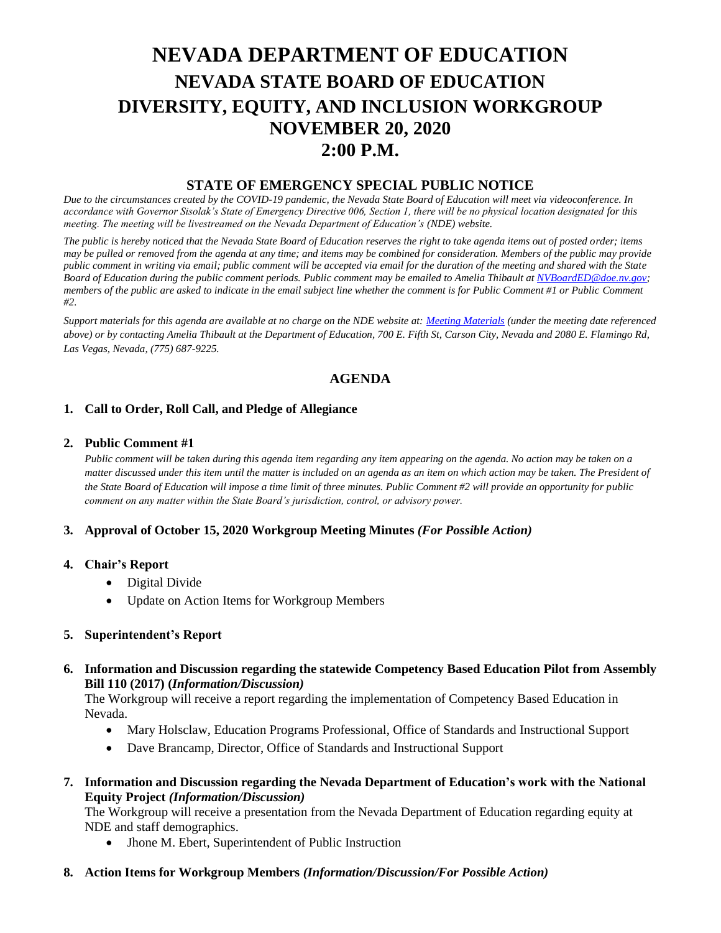# **NEVADA DEPARTMENT OF EDUCATION NEVADA STATE BOARD OF EDUCATION DIVERSITY, EQUITY, AND INCLUSION WORKGROUP NOVEMBER 20, 2020 2:00 P.M.**

# **STATE OF EMERGENCY SPECIAL PUBLIC NOTICE**

*Due to the circumstances created by the COVID-19 pandemic, the Nevada State Board of Education will meet via videoconference. In accordance with Governor Sisolak's State of Emergency Directive 006, Section 1, there will be no physical location designated for this meeting. The meeting will be livestreamed on the Nevada Department of Education's (NDE) website.* 

*The public is hereby noticed that the Nevada State Board of Education reserves the right to take agenda items out of posted order; items may be pulled or removed from the agenda at any time; and items may be combined for consideration. Members of the public may provide public comment in writing via email; public comment will be accepted via email for the duration of the meeting and shared with the State Board of Education during the public comment periods. Public comment may be emailed to Amelia Thibault at [NVBoardED@doe.nv.gov;](mailto:NVBoardED@doe.nv.gov) members of the public are asked to indicate in the email subject line whether the comment is for Public Comment #1 or Public Comment #2.* 

*Support materials for this agenda are available at no charge on the NDE website at[: Meeting Materials](http://www.doe.nv.gov/Boards_Commissions_Councils/State_Board_of_Education/Meeting_Materials/) (under the meeting date referenced above) or by contacting Amelia Thibault at the Department of Education, 700 E. Fifth St, Carson City, Nevada and 2080 E. Flamingo Rd, Las Vegas, Nevada, (775) 687-9225.*

# **AGENDA**

## **1. Call to Order, Roll Call, and Pledge of Allegiance**

#### **2. Public Comment #1**

*Public comment will be taken during this agenda item regarding any item appearing on the agenda. No action may be taken on a matter discussed under this item until the matter is included on an agenda as an item on which action may be taken. The President of the State Board of Education will impose a time limit of three minutes. Public Comment #2 will provide an opportunity for public comment on any matter within the State Board's jurisdiction, control, or advisory power.*

#### **3. Approval of October 15, 2020 Workgroup Meeting Minutes** *(For Possible Action)*

#### **4. Chair's Report**

- Digital Divide
- Update on Action Items for Workgroup Members

#### **5. Superintendent's Report**

## **6. Information and Discussion regarding the statewide Competency Based Education Pilot from Assembly Bill 110 (2017) (***Information/Discussion)*

The Workgroup will receive a report regarding the implementation of Competency Based Education in Nevada.

- Mary Holsclaw, Education Programs Professional, Office of Standards and Instructional Support
- Dave Brancamp, Director, Office of Standards and Instructional Support
- **7. Information and Discussion regarding the Nevada Department of Education's work with the National Equity Project** *(Information/Discussion)*

The Workgroup will receive a presentation from the Nevada Department of Education regarding equity at NDE and staff demographics.

- Jhone M. Ebert, Superintendent of Public Instruction
- **8. Action Items for Workgroup Members** *(Information/Discussion/For Possible Action)*